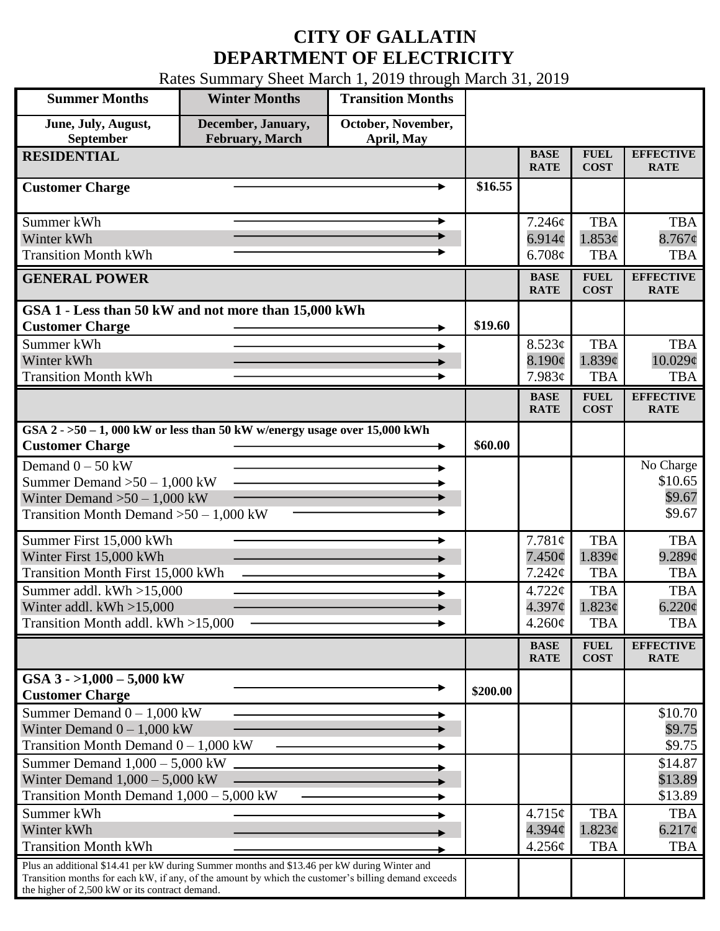## **CITY OF GALLATIN DEPARTMENT OF ELECTRICITY**

Rates Summary Sheet March 1, 2019 through March 31, 2019

| <b>Summer Months</b>                                                                                                                                                                               | <b>Winter Months</b>                         | <b>Transition Months</b>         |          |                            |                            |                                 |
|----------------------------------------------------------------------------------------------------------------------------------------------------------------------------------------------------|----------------------------------------------|----------------------------------|----------|----------------------------|----------------------------|---------------------------------|
| June, July, August,<br>September                                                                                                                                                                   | December, January,<br><b>February, March</b> | October, November,<br>April, May |          |                            |                            |                                 |
| <b>RESIDENTIAL</b>                                                                                                                                                                                 |                                              |                                  |          | <b>BASE</b><br><b>RATE</b> | <b>FUEL</b><br><b>COST</b> | <b>EFFECTIVE</b><br><b>RATE</b> |
| <b>Customer Charge</b>                                                                                                                                                                             |                                              |                                  | \$16.55  |                            |                            |                                 |
| Summer kWh                                                                                                                                                                                         |                                              |                                  |          | 7.246¢                     | <b>TBA</b>                 | <b>TBA</b>                      |
| Winter kWh                                                                                                                                                                                         |                                              |                                  |          | 6.914 $\phi$               | 1.853¢                     | $8.767$ ¢                       |
| <b>Transition Month kWh</b>                                                                                                                                                                        |                                              |                                  |          | 6.708¢                     | <b>TBA</b>                 | <b>TBA</b>                      |
| <b>GENERAL POWER</b>                                                                                                                                                                               |                                              |                                  |          | <b>BASE</b><br><b>RATE</b> | <b>FUEL</b><br><b>COST</b> | <b>EFFECTIVE</b><br><b>RATE</b> |
| GSA 1 - Less than 50 kW and not more than 15,000 kWh                                                                                                                                               |                                              |                                  |          |                            |                            |                                 |
| <b>Customer Charge</b>                                                                                                                                                                             |                                              |                                  | \$19.60  |                            |                            |                                 |
| Summer kWh                                                                                                                                                                                         |                                              |                                  |          | 8.523¢                     | <b>TBA</b>                 | <b>TBA</b>                      |
| Winter kWh                                                                                                                                                                                         |                                              |                                  |          | 8.190¢                     | 1.839c                     | 10.029¢                         |
| <b>Transition Month kWh</b>                                                                                                                                                                        |                                              |                                  |          | 7.983¢                     | <b>TBA</b>                 | <b>TBA</b>                      |
|                                                                                                                                                                                                    |                                              |                                  |          | <b>BASE</b><br><b>RATE</b> | <b>FUEL</b><br><b>COST</b> | <b>EFFECTIVE</b><br><b>RATE</b> |
| GSA $2 - 50 - 1$ , 000 kW or less than 50 kW w/energy usage over 15,000 kWh<br><b>Customer Charge</b>                                                                                              |                                              |                                  | \$60.00  |                            |                            |                                 |
| Demand $0 - 50$ kW                                                                                                                                                                                 |                                              |                                  |          |                            |                            | No Charge                       |
| Summer Demand $>50 - 1,000$ kW                                                                                                                                                                     |                                              |                                  |          |                            |                            | \$10.65                         |
| Winter Demand $>50 - 1,000$ kW                                                                                                                                                                     |                                              |                                  |          |                            |                            | \$9.67                          |
| Transition Month Demand $>50-1,000$ kW                                                                                                                                                             |                                              |                                  |          |                            |                            | \$9.67                          |
| Summer First 15,000 kWh                                                                                                                                                                            |                                              |                                  |          | 7.781¢                     | <b>TBA</b>                 | <b>TBA</b>                      |
| Winter First 15,000 kWh                                                                                                                                                                            |                                              |                                  |          | $7.450\phi$                | 1.839¢                     | $9.289$ ¢                       |
| <b>Transition Month First 15,000 kWh</b>                                                                                                                                                           |                                              |                                  |          | $7.242\phi$                | <b>TBA</b>                 | <b>TBA</b>                      |
| Summer addl. kWh >15,000                                                                                                                                                                           |                                              |                                  |          | 4.722¢                     | <b>TBA</b>                 | <b>TBA</b>                      |
| Winter addl. $kWh > 15,000$                                                                                                                                                                        |                                              |                                  |          | 4.397¢                     | 1.823¢                     | 6.220¢                          |
| Transition Month addl. kWh >15,000                                                                                                                                                                 |                                              |                                  |          | $4.260\phi$                | <b>TBA</b>                 | <b>TBA</b>                      |
|                                                                                                                                                                                                    |                                              |                                  |          | <b>BASE</b><br><b>RATE</b> | <b>FUEL</b><br><b>COST</b> | <b>EFFECTIVE</b><br><b>RATE</b> |
| GSA $3 - 1,000 - 5,000$ kW                                                                                                                                                                         |                                              |                                  | \$200.00 |                            |                            |                                 |
| <b>Customer Charge</b>                                                                                                                                                                             |                                              |                                  |          |                            |                            |                                 |
| Summer Demand $0 - 1,000$ kW                                                                                                                                                                       |                                              |                                  |          |                            |                            | \$10.70                         |
| Winter Demand $0 - 1,000$ kW<br>Transition Month Demand $0 - 1,000$ kW                                                                                                                             |                                              |                                  |          |                            |                            | \$9.75<br>\$9.75                |
|                                                                                                                                                                                                    |                                              |                                  |          |                            |                            |                                 |
| Summer Demand $1,000 - 5,000$ kW<br>Winter Demand $1,000 - 5,000$ kW                                                                                                                               |                                              |                                  |          |                            |                            | \$14.87<br>\$13.89              |
| Transition Month Demand $1,000 - 5,000$ kW                                                                                                                                                         |                                              |                                  |          |                            |                            | \$13.89                         |
| Summer kWh                                                                                                                                                                                         |                                              |                                  |          | 4.715¢                     | <b>TBA</b>                 | <b>TBA</b>                      |
| Winter kWh                                                                                                                                                                                         |                                              |                                  |          | $4.394\mathcal{C}$         | 1.823¢                     | $6.217\phi$                     |
| <b>Transition Month kWh</b>                                                                                                                                                                        |                                              |                                  |          | 4.256¢                     | <b>TBA</b>                 | <b>TBA</b>                      |
| Plus an additional \$14.41 per kW during Summer months and \$13.46 per kW during Winter and<br>Transition months for each kW, if any, of the amount by which the customer's billing demand exceeds |                                              |                                  |          |                            |                            |                                 |
| the higher of 2,500 kW or its contract demand.                                                                                                                                                     |                                              |                                  |          |                            |                            |                                 |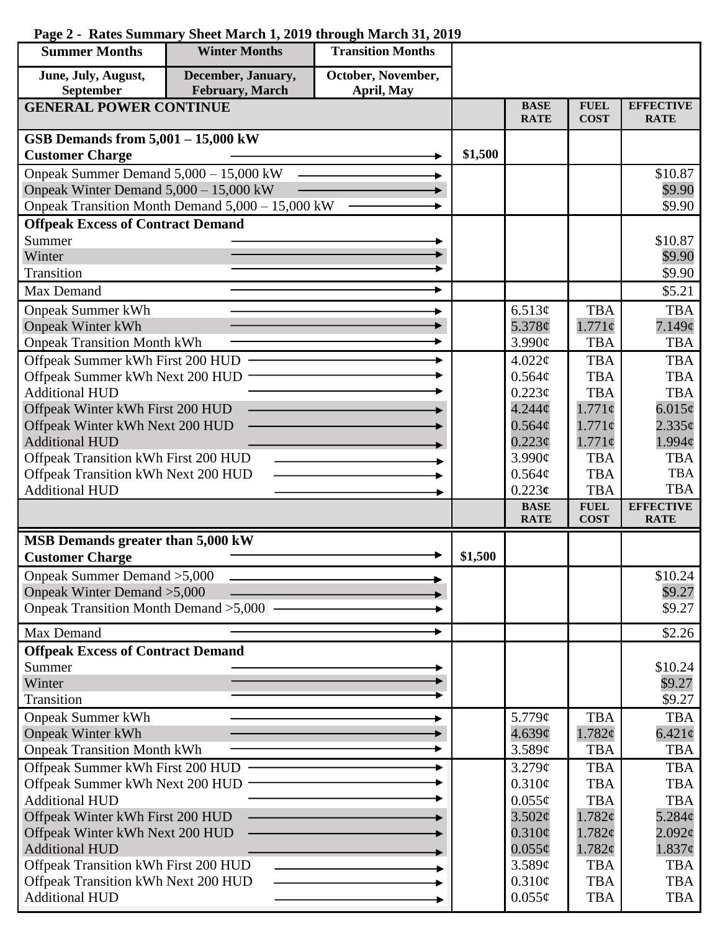## **Page 2 - Rates Summary Sheet March 1, 2019 through March 31, 2019**

| <b>Summer Months</b>                                         | <b>Winter Months</b>                             | <b>Transition Months</b> |         |                            |                            |                                   |
|--------------------------------------------------------------|--------------------------------------------------|--------------------------|---------|----------------------------|----------------------------|-----------------------------------|
| June, July, August,                                          | December, January,                               | October, November,       |         |                            |                            |                                   |
| September                                                    | <b>February</b> , March                          | April, May               |         |                            |                            |                                   |
| <b>GENERAL POWER CONTINUE</b>                                |                                                  |                          |         | <b>BASE</b><br><b>RATE</b> | <b>FUEL</b><br><b>COST</b> | <b>EFFECTIVE</b><br><b>RATE</b>   |
| GSB Demands from $5,001 - 15,000$ kW                         |                                                  |                          |         |                            |                            |                                   |
| <b>Customer Charge</b>                                       |                                                  |                          | \$1,500 |                            |                            |                                   |
| Onpeak Summer Demand 5,000 - 15,000 kW                       |                                                  |                          |         |                            |                            | \$10.87                           |
| Onpeak Winter Demand 5,000 - 15,000 kW                       |                                                  |                          |         |                            |                            | \$9.90                            |
|                                                              | Onpeak Transition Month Demand 5,000 - 15,000 kW |                          |         |                            |                            | \$9.90                            |
| <b>Offpeak Excess of Contract Demand</b>                     |                                                  |                          |         |                            |                            |                                   |
| Summer                                                       |                                                  |                          |         |                            |                            | \$10.87                           |
| Winter                                                       |                                                  |                          |         |                            |                            | \$9.90                            |
| Transition                                                   |                                                  |                          |         |                            |                            | \$9.90                            |
| Max Demand                                                   |                                                  |                          |         |                            |                            | \$5.21                            |
| <b>Onpeak Summer kWh</b>                                     |                                                  |                          |         | 6.513¢                     | <b>TBA</b>                 | <b>TBA</b>                        |
| <b>Onpeak Winter kWh</b>                                     |                                                  |                          |         | 5.378¢                     | $1.771\phi$                | 7.149¢                            |
| <b>Onpeak Transition Month kWh</b>                           |                                                  |                          |         | 3.990¢                     | <b>TBA</b>                 | <b>TBA</b>                        |
| Offpeak Summer kWh First 200 HUD                             |                                                  |                          |         | 4.022¢                     | <b>TBA</b>                 | <b>TBA</b>                        |
| Offpeak Summer kWh Next 200 HUD                              |                                                  |                          |         | 0.564¢                     | <b>TBA</b>                 | <b>TBA</b>                        |
| <b>Additional HUD</b>                                        |                                                  |                          |         | 0.223¢                     | <b>TBA</b>                 | <b>TBA</b>                        |
| Offpeak Winter kWh First 200 HUD                             |                                                  |                          |         | 4.244 <sub>¢</sub>         | $1.771\phi$                | 6.015¢                            |
| Offpeak Winter kWh Next 200 HUD<br><b>Additional HUD</b>     |                                                  |                          |         | 0.564¢<br>$0.223\phi$      | $1.771\phi$<br>$1.771\phi$ | $2.335\phi$<br>$1.994\mathcal{C}$ |
| Offpeak Transition kWh First 200 HUD                         |                                                  |                          |         | 3.990¢                     | <b>TBA</b>                 | <b>TBA</b>                        |
| Offpeak Transition kWh Next 200 HUD                          |                                                  |                          |         | 0.564¢                     | <b>TBA</b>                 | <b>TBA</b>                        |
| <b>Additional HUD</b>                                        |                                                  |                          |         | 0.223c                     | <b>TBA</b>                 | <b>TBA</b>                        |
|                                                              |                                                  |                          |         | <b>BASE</b>                | <b>FUEL</b>                | <b>EFFECTIVE</b>                  |
|                                                              |                                                  |                          |         | <b>RATE</b>                | <b>COST</b>                | <b>RATE</b>                       |
| MSB Demands greater than 5,000 kW                            |                                                  |                          | \$1,500 |                            |                            |                                   |
| <b>Customer Charge</b>                                       |                                                  |                          |         |                            |                            |                                   |
| Onpeak Summer Demand > 5,000<br>Onpeak Winter Demand > 5,000 |                                                  |                          |         |                            |                            | \$10.24<br>\$9.27                 |
| Onpeak Transition Month Demand > 5,000 -                     |                                                  |                          |         |                            |                            | \$9.27                            |
|                                                              |                                                  |                          |         |                            |                            |                                   |
| Max Demand                                                   |                                                  |                          |         |                            |                            | \$2.26                            |
| <b>Offpeak Excess of Contract Demand</b>                     |                                                  |                          |         |                            |                            |                                   |
| Summer<br>Winter                                             |                                                  |                          |         |                            |                            | \$10.24<br>\$9.27                 |
| Transition                                                   |                                                  |                          |         |                            |                            | \$9.27                            |
| <b>Onpeak Summer kWh</b>                                     |                                                  |                          |         | 5.779¢                     | <b>TBA</b>                 | <b>TBA</b>                        |
| <b>Onpeak Winter kWh</b>                                     |                                                  |                          |         | 4.639¢                     | 1.782¢                     | $6.421\phi$                       |
| <b>Onpeak Transition Month kWh</b>                           |                                                  |                          |         | 3.589¢                     | <b>TBA</b>                 | <b>TBA</b>                        |
| Offpeak Summer kWh First 200 HUD                             |                                                  |                          |         | 3.279¢                     | <b>TBA</b>                 | <b>TBA</b>                        |
| Offpeak Summer kWh Next 200 HUD                              |                                                  |                          |         | $0.310\phi$                | <b>TBA</b>                 | <b>TBA</b>                        |
| <b>Additional HUD</b>                                        |                                                  |                          |         | $0.055\phi$                | <b>TBA</b>                 | <b>TBA</b>                        |
| Offpeak Winter kWh First 200 HUD                             |                                                  |                          |         | 3.502¢                     | 1.782¢                     | 5.284¢                            |
| Offpeak Winter kWh Next 200 HUD                              |                                                  |                          |         | $0.310\phi$                | 1.782¢                     | $2.092\epsilon$                   |
| <b>Additional HUD</b>                                        |                                                  |                          |         | $0.055\phi$                | 1.782¢                     | $1.837\phi$                       |
| Offpeak Transition kWh First 200 HUD                         |                                                  |                          |         | 3.589¢                     | <b>TBA</b>                 | <b>TBA</b>                        |
| Offpeak Transition kWh Next 200 HUD                          |                                                  |                          |         | $0.310\phi$                | <b>TBA</b>                 | <b>TBA</b>                        |
| <b>Additional HUD</b>                                        |                                                  |                          |         | $0.055\phi$                | <b>TBA</b>                 | <b>TBA</b>                        |